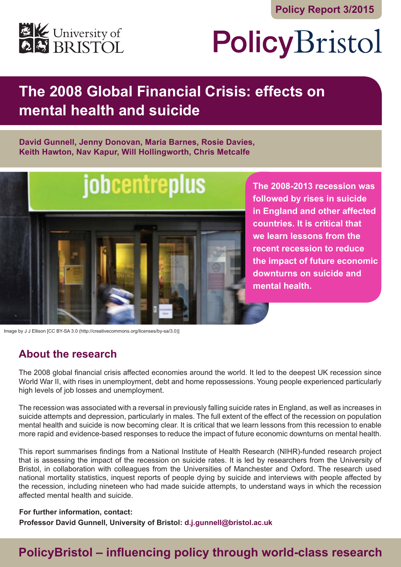

# PolicyBristol

# **The 2008 Global Financial Crisis: effects on mental health and suicide**

#### **David Gunnell, Jenny Donovan, Maria Barnes, Rosie Davies, Keith Hawton, Nav Kapur, Will Hollingworth, Chris Metcalfe**



**The 2008-2013 recession was followed by rises in suicide in England and other affected countries. It is critical that we learn lessons from the recent recession to reduce the impact of future economic downturns on suicide and mental health.** 

Image by J J Ellison [CC BY-SA 3.0 (http://creativecommons.org/licenses/by-sa/3.0)]

## **About the research**

The 2008 global financial crisis affected economies around the world. It led to the deepest UK recession since World War II, with rises in unemployment, debt and home repossessions. Young people experienced particularly high levels of job losses and unemployment.

The recession was associated with a reversal in previously falling suicide rates in England, as well as increases in suicide attempts and depression, particularly in males. The full extent of the effect of the recession on population mental health and suicide is now becoming clear. It is critical that we learn lessons from this recession to enable more rapid and evidence-based responses to reduce the impact of future economic downturns on mental health.

This report summarises findings from a National Institute of Health Research (NIHR)-funded research project that is assessing the impact of the recession on suicide rates. It is led by researchers from the University of Bristol, in collaboration with colleagues from the Universities of Manchester and Oxford. The research used national mortality statistics, inquest reports of people dying by suicide and interviews with people affected by the recession, including nineteen who had made suicide attempts, to understand ways in which the recession affected mental health and suicide.

#### **For further information, contact:**

**Professor David Gunnell, University of Bristol: d.j.gunnell@bristol.ac.uk**

# **PolicyBristol – influencing policy through world-class research**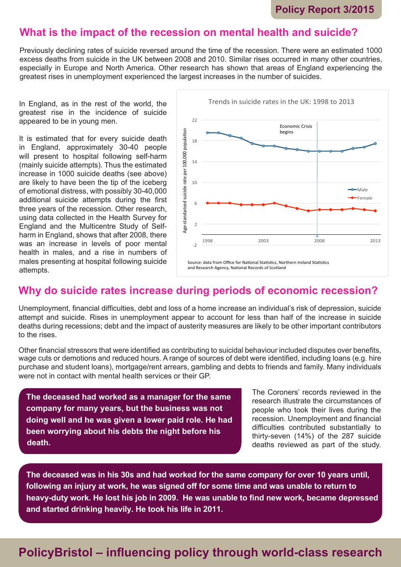### **What is the impact of the recession on mental health and suicide?**

Previously declining rates of suicide reversed around the time of the recession. There were an estimated 1000 excess deaths from suicide in the UK between 2008 and 2010. Similar rises occurred in many other countries, especially in Europe and North America. Other research has shown that areas of England experiencing the greatest rises in unemployment experienced the largest increases in the number of suicides.

In England, as in the rest of the world, the greatest rise in the incidence of suicide appeared to be in young men.

It is estimated that for every suicide death in England, approximately 30-40 people will present to hospital following self-harm (mainly suicide attempts). Thus the estimated increase in 1000 suicide deaths (see above) are likely to have been the tip of the iceberg of emotional distress, with possibly 30-40,000 additional suicide attempts during the first three years of the recession. Other research, using data collected in the Health Survey for England and the Multicentre Study of Selfharm in England, shows that after 2008, there was an increase in levels of poor mental health in males, and a rise in numbers of males presenting at hospital following suicide attempts.



## **Why do suicide rates increase during periods of economic recession?**

Unemployment, financial difficulties, debt and loss of a home increase an individual's risk of depression, suicide attempt and suicide. Rises in unemployment appear to account for less than half of the increase in suicide deaths during recessions; debt and the impact of austerity measures are likely to be other important contributors to the rises.

Other financial stressors that were identified as contributing to suicidal behaviour included disputes over benefits, wage cuts or demotions and reduced hours. A range of sources of debt were identified, including loans (e.g. hire purchase and student loans), mortgage/rent arrears, gambling and debts to friends and family. Many individuals were not in contact with mental health services or their GP.

**The deceased had worked as a manager for the same company for many years, but the business was not doing well and he was given a lower paid role. He had been worrying about his debts the night before his death.**

The Coroners' records reviewed in the research illustrate the circumstances of people who took their lives during the recession. Unemployment and financial difficulties contributed substantially to thirty-seven (14%) of the 287 suicide deaths reviewed as part of the study.

**The deceased was in his 30s and had worked for the same company for over 10 years until, following an injury at work, he was signed off for some time and was unable to return to heavy-duty work. He lost his job in 2009. He was unable to find new work, became depressed and started drinking heavily. He took his life in 2011.**

# **PolicyBristol – influencing policy through world-class research**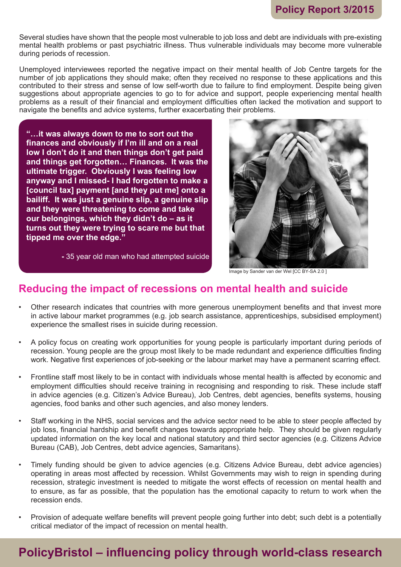Several studies have shown that the people most vulnerable to job loss and debt are individuals with pre-existing mental health problems or past psychiatric illness. Thus vulnerable individuals may become more vulnerable during periods of recession.

Unemployed interviewees reported the negative impact on their mental health of Job Centre targets for the number of job applications they should make; often they received no response to these applications and this contributed to their stress and sense of low self-worth due to failure to find employment. Despite being given suggestions about appropriate agencies to go to for advice and support, people experiencing mental health problems as a result of their financial and employment difficulties often lacked the motivation and support to navigate the benefits and advice systems, further exacerbating their problems.

**"…it was always down to me to sort out the finances and obviously if I'm ill and on a real low I don't do it and then things don't get paid and things get forgotten… Finances. It was the ultimate trigger. Obviously I was feeling low anyway and I missed- I had forgotten to make a [council tax] payment [and they put me] onto a bailiff. It was just a genuine slip, a genuine slip and they were threatening to come and take our belongings, which they didn't do – as it turns out they were trying to scare me but that tipped me over the edge."** 

**-** 35 year old man who had attempted suicide



Image by Sander van der Wel [CC BY-SA 2.0 ]

#### **Reducing the impact of recessions on mental health and suicide**

- Other research indicates that countries with more generous unemployment benefits and that invest more in active labour market programmes (e.g. job search assistance, apprenticeships, subsidised employment) experience the smallest rises in suicide during recession.
- A policy focus on creating work opportunities for young people is particularly important during periods of recession. Young people are the group most likely to be made redundant and experience difficulties finding work. Negative first experiences of job-seeking or the labour market may have a permanent scarring effect.
- Frontline staff most likely to be in contact with individuals whose mental health is affected by economic and employment difficulties should receive training in recognising and responding to risk. These include staff in advice agencies (e.g. Citizen's Advice Bureau), Job Centres, debt agencies, benefits systems, housing agencies, food banks and other such agencies, and also money lenders.
- Staff working in the NHS, social services and the advice sector need to be able to steer people affected by job loss, financial hardship and benefit changes towards appropriate help. They should be given regularly updated information on the key local and national statutory and third sector agencies (e.g. Citizens Advice Bureau (CAB), Job Centres, debt advice agencies, Samaritans).
- Timely funding should be given to advice agencies (e.g. Citizens Advice Bureau, debt advice agencies) operating in areas most affected by recession. Whilst Governments may wish to reign in spending during recession, strategic investment is needed to mitigate the worst effects of recession on mental health and to ensure, as far as possible, that the population has the emotional capacity to return to work when the recession ends.
- Provision of adequate welfare benefits will prevent people going further into debt; such debt is a potentially critical mediator of the impact of recession on mental health.

# **PolicyBristol – influencing policy through world-class research**